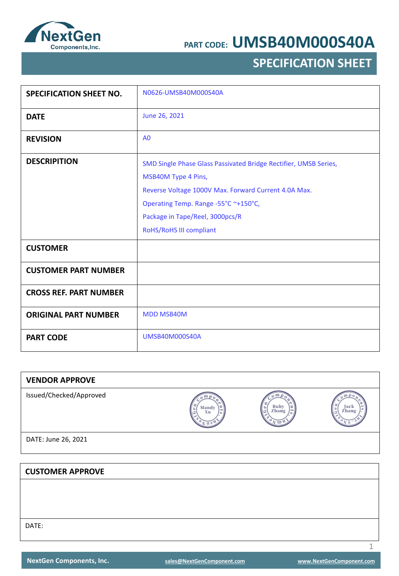

### **SPECIFICATION SHEET**

| <b>SPECIFICATION SHEET NO.</b> | N0626-UMSB40M000S40A                                                                                                                                                                                                                                  |
|--------------------------------|-------------------------------------------------------------------------------------------------------------------------------------------------------------------------------------------------------------------------------------------------------|
| <b>DATE</b>                    | June 26, 2021                                                                                                                                                                                                                                         |
| <b>REVISION</b>                | A <sub>0</sub>                                                                                                                                                                                                                                        |
| <b>DESCRIPITION</b>            | SMD Single Phase Glass Passivated Bridge Rectifier, UMSB Series,<br>MSB40M Type 4 Pins,<br>Reverse Voltage 1000V Max. Forward Current 4.0A Max.<br>Operating Temp. Range -55°C ~+150°C,<br>Package in Tape/Reel, 3000pcs/R<br>RoHS/RoHS III compliant |
| <b>CUSTOMER</b>                |                                                                                                                                                                                                                                                       |
| <b>CUSTOMER PART NUMBER</b>    |                                                                                                                                                                                                                                                       |
| <b>CROSS REF. PART NUMBER</b>  |                                                                                                                                                                                                                                                       |
| <b>ORIGINAL PART NUMBER</b>    | <b>MDD MSB40M</b>                                                                                                                                                                                                                                     |
| <b>PART CODE</b>               | <b>UMSB40M000S40A</b>                                                                                                                                                                                                                                 |

| <b>VENDOR APPROVE</b>   |             |               |               |
|-------------------------|-------------|---------------|---------------|
| Issued/Checked/Approved | Mandy<br>Xu | Ruby<br>Zhang | Jack<br>Zhang |
| DATE: June 26, 2021     |             |               |               |
|                         |             |               |               |
| <b>CUSTOMER APPROVE</b> |             |               |               |
|                         |             |               |               |
|                         |             |               |               |

DATE: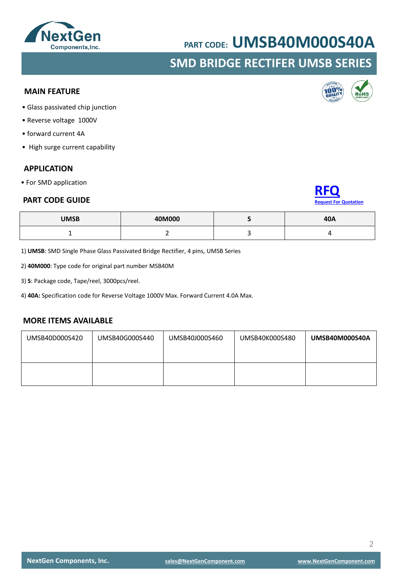### **NextGen** Components, Inc.

## **PART CODE: UMSB40M000S40A**

### **SMD BRIDGE RECTIFER UMSB SERIES**

### **MAIN FEATURE**

- Glass passivated chip junction
- Reverse voltage 1000V
- forward current 4A
- High surge current capability

#### **APPLICATION**

• For SMD application

#### **PART CODE GUIDE**

| <b>UMSB</b> | 40M000 | 40A |
|-------------|--------|-----|
|             | -      |     |

1) **UMSB**: SMD Single Phase Glass Passivated Bridge Rectifier, 4 pins, UMSB Series

2) **40M000**: Type code for original part number MSB40M

3) **S**: Package code, Tape/reel, 3000pcs/reel.

4) **40A:** Specification code for Reverse Voltage 1000V Max. Forward Current 4.0A Max.

#### **MORE ITEMS AVAILABLE**

| UMSB40D000S420 | UMSB40G000S440 | UMSB40J000S460 | UMSB40K000S480 | UMSB40M000S40A |
|----------------|----------------|----------------|----------------|----------------|
|                |                |                |                |                |



**[RFQ](mailto:sales@NextGenComponent.com?subject=RFQ%20for%20PART%20CODE:%20UMSB40M000S40A)**

**[Request For Quotation](mailto:sales@NextGenComponent.com?subject=RFQ%20for%20PART%20CODE:%20UMSB40M000S40A)**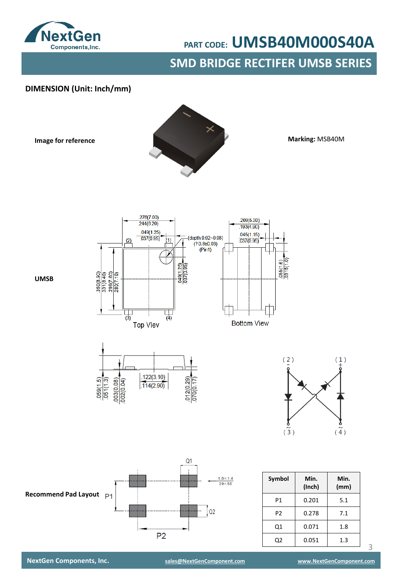

**SMD BRIDGE RECTIFER UMSB SERIES**

### **DIMENSION (Unit: Inch/mm)**

**Image for reference**



**Marking:** MSB40M

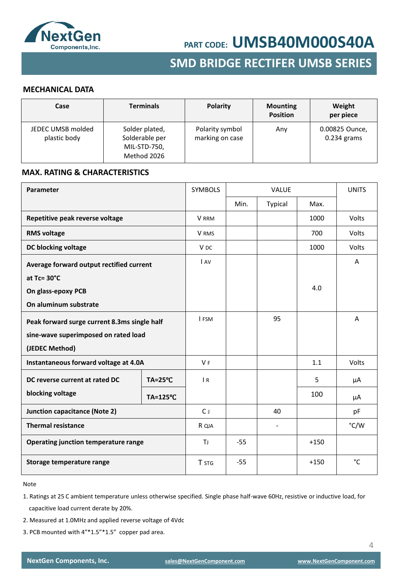

### **SMD BRIDGE RECTIFER UMSB SERIES**

### **MECHANICAL DATA**

| Case                              | <b>Terminals</b>                                                | Polarity                           | <b>Mounting</b><br><b>Position</b> | Weight<br>per piece             |
|-----------------------------------|-----------------------------------------------------------------|------------------------------------|------------------------------------|---------------------------------|
| JEDEC UMSB molded<br>plastic body | Solder plated,<br>Solderable per<br>MIL-STD-750,<br>Method 2026 | Polarity symbol<br>marking on case | Any                                | 0.00825 Ounce,<br>$0.234$ grams |

#### **MAX. RATING & CHARACTERISTICS**

| Parameter                                    |                    |                 |       | <b>VALUE</b> |        |       |
|----------------------------------------------|--------------------|-----------------|-------|--------------|--------|-------|
|                                              |                    |                 | Min.  | Typical      | Max.   |       |
| Repetitive peak reverse voltage              |                    | V RRM           |       |              | 1000   | Volts |
| <b>RMS voltage</b>                           |                    | V RMS           |       |              | 700    | Volts |
| DC blocking voltage                          |                    | V <sub>DC</sub> |       |              | 1000   | Volts |
| Average forward output rectified current     |                    | <b>I</b> AV     |       |              |        | A     |
| at $Tc = 30^{\circ}C$                        |                    |                 |       |              |        |       |
| On glass-epoxy PCB                           |                    |                 |       |              | 4.0    |       |
| On aluminum substrate                        |                    |                 |       |              |        |       |
| Peak forward surge current 8.3ms single half |                    | I FSM           |       | 95           |        | A     |
| sine-wave superimposed on rated load         |                    |                 |       |              |        |       |
| (JEDEC Method)                               |                    |                 |       |              |        |       |
| Instantaneous forward voltage at 4.0A        |                    | <b>VF</b>       |       |              | 1.1    | Volts |
| DC reverse current at rated DC               | $TA = 25^{\circ}C$ | $\overline{R}$  |       |              | 5      | μA    |
| blocking voltage<br>$TA = 125^{\circ}C$      |                    |                 |       |              | 100    | μA    |
| <b>Junction capacitance (Note 2)</b>         |                    | $C_{J}$         |       | 40           |        | pF    |
| <b>Thermal resistance</b>                    |                    | R QJA           |       |              |        | °C/W  |
| Operating junction temperature range         |                    | ΤJ              | $-55$ |              | $+150$ |       |
| Storage temperature range                    |                    | T STG           | $-55$ |              | $+150$ | °C    |

Note

- 1. Ratings at 25 C ambient temperature unless otherwise specified. Single phase half-wave 60Hz, resistive or inductive load, for capacitive load current derate by 20%.
- 2. Measured at 1.0MHz and applied reverse voltage of 4Vdc
- 3. PCB mounted with 4"\*1.5"\*1.5" copper pad area.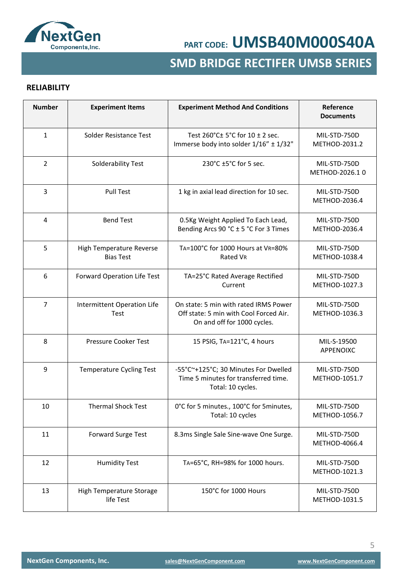

### **SMD BRIDGE RECTIFER UMSB SERIES**

### **RELIABILITY**

| <b>Number</b>  | <b>Experiment Items</b>                      | <b>Experiment Method And Conditions</b>                                                                        | Reference<br><b>Documents</b>  |
|----------------|----------------------------------------------|----------------------------------------------------------------------------------------------------------------|--------------------------------|
| $\mathbf{1}$   | Solder Resistance Test                       | Test $260^{\circ}$ C $\pm$ 5°C for 10 $\pm$ 2 sec.<br>Immerse body into solder 1/16" ± 1/32"                   | MIL-STD-750D<br>METHOD-2031.2  |
| $\overline{2}$ | Solderability Test                           | 230°C ±5°C for 5 sec.                                                                                          | MIL-STD-750D<br>METHOD-2026.10 |
| $\overline{3}$ | <b>Pull Test</b>                             | 1 kg in axial lead direction for 10 sec.                                                                       | MIL-STD-750D<br>METHOD-2036.4  |
| 4              | <b>Bend Test</b>                             | 0.5Kg Weight Applied To Each Lead,<br>Bending Arcs 90 °C ± 5 °C For 3 Times                                    | MIL-STD-750D<br>METHOD-2036.4  |
| 5              | High Temperature Reverse<br><b>Bias Test</b> | TA=100°C for 1000 Hours at VR=80%<br>Rated VR                                                                  | MIL-STD-750D<br>METHOD-1038.4  |
| 6              | Forward Operation Life Test                  | TA=25°C Rated Average Rectified<br>Current                                                                     | MIL-STD-750D<br>METHOD-1027.3  |
| $\overline{7}$ | Intermittent Operation Life<br>Test          | On state: 5 min with rated IRMS Power<br>Off state: 5 min with Cool Forced Air.<br>On and off for 1000 cycles. | MIL-STD-750D<br>METHOD-1036.3  |
| 8              | <b>Pressure Cooker Test</b>                  | 15 PSIG, TA=121°C, 4 hours                                                                                     | MIL-S-19500<br>APPENOIXC       |
| 9              | <b>Temperature Cycling Test</b>              | -55°C~+125°C; 30 Minutes For Dwelled<br>Time 5 minutes for transferred time.<br>Total: 10 cycles.              | MIL-STD-750D<br>METHOD-1051.7  |
| 10             | <b>Thermal Shock Test</b>                    | 0°C for 5 minutes., 100°C for 5 minutes,<br>Total: 10 cycles                                                   | MIL-STD-750D<br>METHOD-1056.7  |
| 11             | <b>Forward Surge Test</b>                    | 8.3ms Single Sale Sine-wave One Surge.                                                                         | MIL-STD-750D<br>METHOD-4066.4  |
| 12             | <b>Humidity Test</b>                         | TA=65°C, RH=98% for 1000 hours.                                                                                | MIL-STD-750D<br>METHOD-1021.3  |
| 13             | High Temperature Storage<br>life Test        | 150°C for 1000 Hours                                                                                           | MIL-STD-750D<br>METHOD-1031.5  |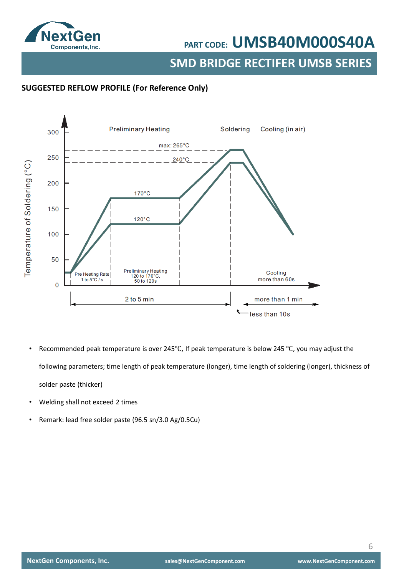

**SMD BRIDGE RECTIFER UMSB SERIES**

### **SUGGESTED REFLOW PROFILE (For Reference Only)**



- Recommended peak temperature is over 245°C, If peak temperature is below 245 °C, you may adjust the following parameters; time length of peak temperature (longer), time length of soldering (longer), thickness of solder paste (thicker)
- Welding shall not exceed 2 times
- Remark: lead free solder paste (96.5 sn/3.0 Ag/0.5Cu)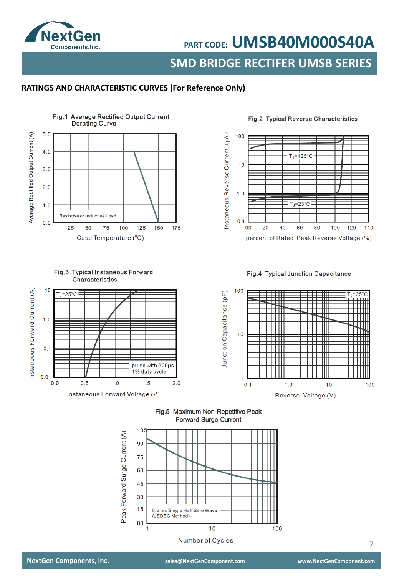

**SMD BRIDGE RECTIFER UMSB SERIES PART CODE: UMSB40M000S40A**

### **RATINGS AND CHARACTERISTIC CURVES (For Reference Only)**



Fig.3 Typical Instaneous Forward

#### Fig.2 Typical Reverse Characteristics



#### Fig.4 Typical Junction Capacitance







**Number of Cycles**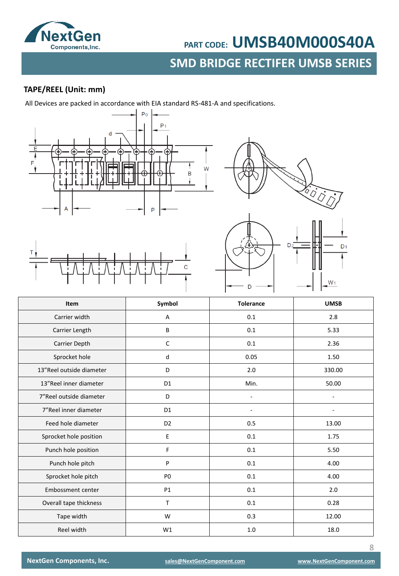

### **SMD BRIDGE RECTIFER UMSB SERIES SMD BRIDGE RECTIFER UMSB SERIESPART CODE: UMSB40M000S40A**

### **TAPE/REEL (Unit: mm)**

All Devices are packed in accordance with EIA standard RS-481-A and specifications.









| Item                     | Symbol         | <b>Tolerance</b> | <b>UMSB</b> |
|--------------------------|----------------|------------------|-------------|
| Carrier width            | А              | 0.1              | 2.8         |
| Carrier Length           | B              | 0.1              | 5.33        |
| Carrier Depth            | C              | 0.1              | 2.36        |
| Sprocket hole            | d              | 0.05             | 1.50        |
| 13"Reel outside diameter | D              | 2.0              | 330.00      |
| 13"Reel inner diameter   | D <sub>1</sub> | Min.             | 50.00       |
| 7" Reel outside diameter | D              | $\overline{a}$   |             |
| 7"Reel inner diameter    | D <sub>1</sub> | L,               |             |
| Feed hole diameter       | D <sub>2</sub> | 0.5              | 13.00       |
| Sprocket hole position   | E              | 0.1              | 1.75        |
| Punch hole position      | F              | 0.1              | 5.50        |
| Punch hole pitch         | P              | 0.1              | 4.00        |
| Sprocket hole pitch      | P <sub>0</sub> | 0.1              | 4.00        |
| Embossment center        | <b>P1</b>      | 0.1              | 2.0         |
| Overall tape thickness   | $\mathsf{T}$   | 0.1              | 0.28        |
| Tape width               | W              | 0.3              | 12.00       |
| Reel width               | W1             | 1.0              | 18.0        |